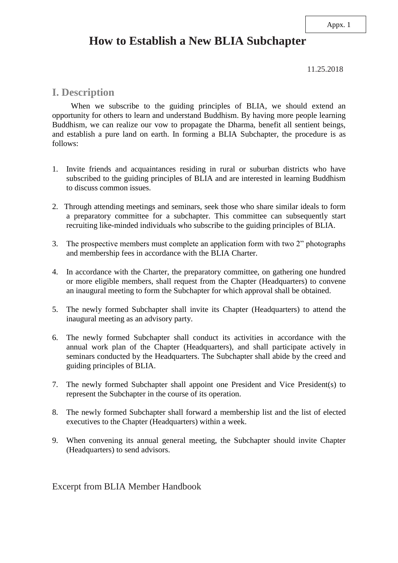#### Appx. 1

## **How to Establish a New BLIA Subchapter**

11.25.2018

#### **I. Description**

When we subscribe to the guiding principles of BLIA, we should extend an opportunity for others to learn and understand Buddhism. By having more people learning Buddhism, we can realize our vow to propagate the Dharma, benefit all sentient beings, and establish a pure land on earth. In forming a BLIA Subchapter, the procedure is as follows:

- 1. Invite friends and acquaintances residing in rural or suburban districts who have subscribed to the guiding principles of BLIA and are interested in learning Buddhism to discuss common issues.
- 2. Through attending meetings and seminars, seek those who share similar ideals to form a preparatory committee for a subchapter. This committee can subsequently start recruiting like-minded individuals who subscribe to the guiding principles of BLIA.
- 3. The prospective members must complete an application form with two 2" photographs and membership fees in accordance with the BLIA Charter.
- 4. In accordance with the Charter, the preparatory committee, on gathering one hundred or more eligible members, shall request from the Chapter (Headquarters) to convene an inaugural meeting to form the Subchapter for which approval shall be obtained.
- 5. The newly formed Subchapter shall invite its Chapter (Headquarters) to attend the inaugural meeting as an advisory party.
- 6. The newly formed Subchapter shall conduct its activities in accordance with the annual work plan of the Chapter (Headquarters), and shall participate actively in seminars conducted by the Headquarters. The Subchapter shall abide by the creed and guiding principles of BLIA.
- 7. The newly formed Subchapter shall appoint one President and Vice President(s) to represent the Subchapter in the course of its operation.
- 8. The newly formed Subchapter shall forward a membership list and the list of elected executives to the Chapter (Headquarters) within a week.
- 9. When convening its annual general meeting, the Subchapter should invite Chapter (Headquarters) to send advisors.

Excerpt from BLIA Member Handbook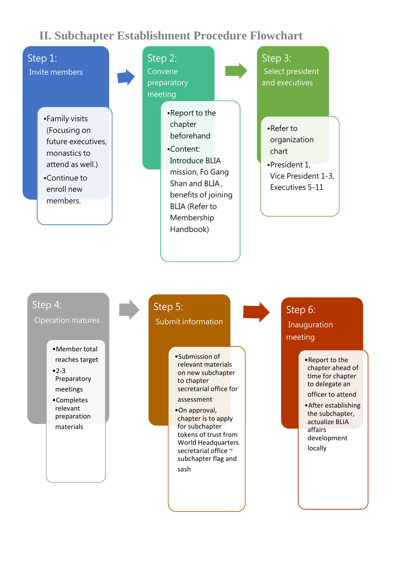## **II. Subchapter Establishment Procedure Flowchart**

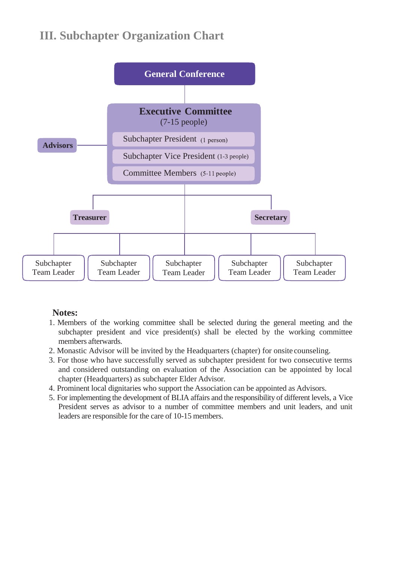## **III. Subchapter Organization Chart**



#### **Notes:**

- 1. Members of the working committee shall be selected during the general meeting and the subchapter president and vice president(s) shall be elected by the working committee members afterwards.
- 2. Monastic Advisor will be invited by the Headquarters (chapter) for onsite counseling.
- 3. For those who have successfully served as subchapter president for two consecutive terms and considered outstanding on evaluation of the Association can be appointed by local chapter (Headquarters) as subchapter Elder Advisor.
- 4. Prominent local dignitaries who support the Association can be appointed as Advisors.
- 5. For implementing the development of BLIA affairs and the responsibility of different levels, a Vice President serves as advisor to a number of committee members and unit leaders, and unit leaders are responsible for the care of 10-15 members.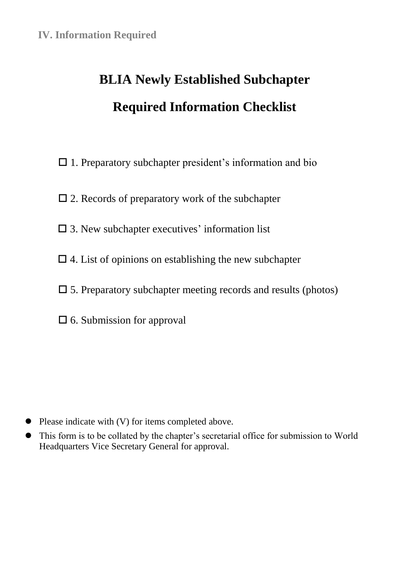# **BLIA Newly Established Subchapter Required Information Checklist**

- $\Box$  1. Preparatory subchapter president's information and bio
- $\square$  2. Records of preparatory work of the subchapter
- $\square$  3. New subchapter executives' information list
- $\Box$  4. List of opinions on establishing the new subchapter
- $\square$  5. Preparatory subchapter meeting records and results (photos)
- $\square$  6. Submission for approval

- Please indicate with (V) for items completed above.
- This form is to be collated by the chapter's secretarial office for submission to World Headquarters Vice Secretary General for approval.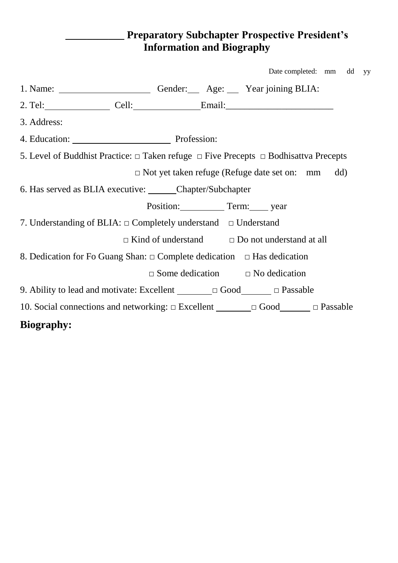### **\_\_\_\_\_\_\_\_\_\_\_ Preparatory Subchapter Prospective President's Information and Biography**

yy

|                                                                                                     |  |  |  | Date completed: mm                                        | dd  |
|-----------------------------------------------------------------------------------------------------|--|--|--|-----------------------------------------------------------|-----|
|                                                                                                     |  |  |  |                                                           |     |
|                                                                                                     |  |  |  |                                                           |     |
| 3. Address:                                                                                         |  |  |  |                                                           |     |
| 4. Education: Profession:                                                                           |  |  |  |                                                           |     |
| 5. Level of Buddhist Practice: $\Box$ Taken refuge $\Box$ Five Precepts $\Box$ Bodhisattva Precepts |  |  |  |                                                           |     |
|                                                                                                     |  |  |  | $\Box$ Not yet taken refuge (Refuge date set on: mm       | dd) |
| 6. Has served as BLIA executive: Chapter/Subchapter                                                 |  |  |  |                                                           |     |
|                                                                                                     |  |  |  | Position: Term: year                                      |     |
| 7. Understanding of BLIA: $\Box$ Completely understand $\Box$ Understand                            |  |  |  |                                                           |     |
|                                                                                                     |  |  |  | $\Box$ Kind of understand $\Box$ Do not understand at all |     |
| 8. Dedication for Fo Guang Shan: $\Box$ Complete dedication $\Box$ Has dedication                   |  |  |  |                                                           |     |
|                                                                                                     |  |  |  | $\square$ Some dedication $\square$ No dedication         |     |
| 9. Ability to lead and motivate: Excellent $\Box$ $\Box$ Good $\Box$ $\Box$ Passable                |  |  |  |                                                           |     |
| 10. Social connections and networking: $\Box$ Excellent $\Box$ $\Box$ Good $\Box$ Passable          |  |  |  |                                                           |     |
| <b>Biography:</b>                                                                                   |  |  |  |                                                           |     |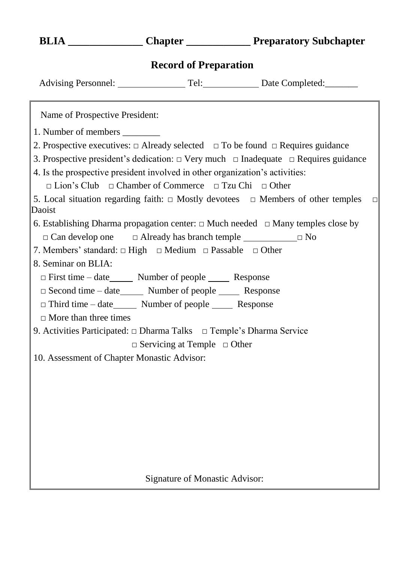| рена                       | Unapul<br>11 cparatory Subchapter |                 |  |
|----------------------------|-----------------------------------|-----------------|--|
|                            | <b>Record of Preparation</b>      |                 |  |
| <b>Advising Personnel:</b> | Tel:                              | Date Completed: |  |

**BLIA \_\_\_\_\_\_\_\_\_\_\_\_\_\_ Chapter \_\_\_\_\_\_\_\_\_\_\_\_ Preparatory Subchapter**

Name of Prospective President:

1. Number of members

- 2. Prospective executives:  $\Box$  Already selected  $\Box$  To be found  $\Box$  Requires guidance
- 3. Prospective president's dedication: □ Very much □ Inadequate □ Requires guidance 4. Is the prospective president involved in other organization's activities:
	- □ Lion's Club □ Chamber of Commerce □ Tzu Chi □ Other

5. Local situation regarding faith:  $\Box$  Mostly devotees  $\Box$  Members of other temples  $\Box$ Daoist

- 6. Establishing Dharma propagation center:  $\Box$  Much needed  $\Box$  Many temples close by □ Can develop one □ Already has branch temple □ No
- 7. Members' standard: □ High □ Medium □ Passable □ Other
- 8. Seminar on BLIA:
	- $\Box$  First time date  $\Box$  Number of people  $\Box$  Response
	- □ Second time date\_\_\_\_\_\_\_\_ Number of people \_\_\_\_\_\_\_ Response
	- $\Box$  Third time date Number of people Response
	- $\Box$  More than three times
- 9. Activities Participated: □ Dharma Talks □ Temple's Dharma Service

□ Servicing at Temple □ Other

10. Assessment of Chapter Monastic Advisor:

Signature of Monastic Advisor: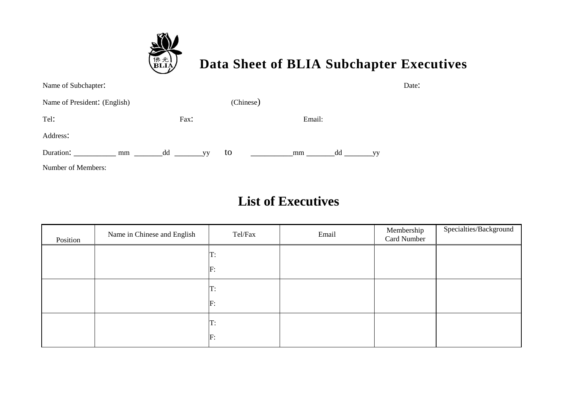

## **Data Sheet of BLIA Subchapter Executives**

| Name of Subchapter:          |                 |           |          | Date:     |
|------------------------------|-----------------|-----------|----------|-----------|
| Name of President: (English) |                 | (Chinese) |          |           |
| Tel:                         | Fax:            |           | Email:   |           |
| Address:                     |                 |           |          |           |
| Duration:<br>mm              | dd<br><b>VV</b> | to        | dd<br>mm | <b>VV</b> |
| Number of Members:           |                 |           |          |           |

## **List of Executives**

| Position | Name in Chinese and English | Tel/Fax | Email | Membership<br>Card Number | Specialties/Background |
|----------|-----------------------------|---------|-------|---------------------------|------------------------|
|          |                             | T:      |       |                           |                        |
|          |                             | F:      |       |                           |                        |
|          |                             | T:      |       |                           |                        |
|          |                             | F:      |       |                           |                        |
|          |                             | T:      |       |                           |                        |
|          |                             | F:      |       |                           |                        |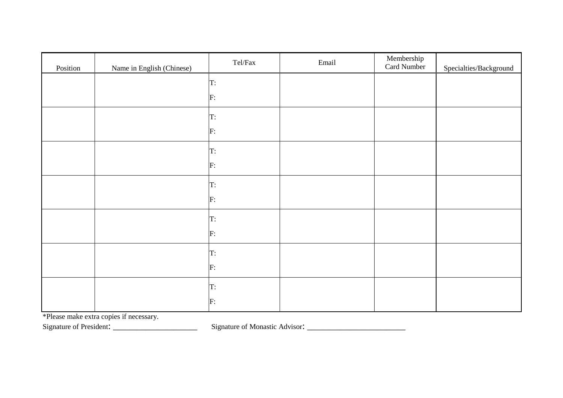| Position | Name in English (Chinese) | $\mbox{Tel}/\mbox{Fax}$ | Email | Membership<br>Card Number | Specialties/Background |
|----------|---------------------------|-------------------------|-------|---------------------------|------------------------|
|          |                           | T:                      |       |                           |                        |
|          |                           | F:                      |       |                           |                        |
|          |                           | T:                      |       |                           |                        |
|          |                           | F:                      |       |                           |                        |
|          |                           | T:                      |       |                           |                        |
|          |                           | F:                      |       |                           |                        |
|          |                           | T:                      |       |                           |                        |
|          |                           | F:                      |       |                           |                        |
|          |                           | T:                      |       |                           |                        |
|          |                           | F:                      |       |                           |                        |
|          |                           | T:                      |       |                           |                        |
|          |                           | F:                      |       |                           |                        |
|          |                           | T:                      |       |                           |                        |
|          |                           | F:                      |       |                           |                        |

\*Please make extra copies if necessary.

Signature of President: \_\_\_\_\_\_\_\_\_\_\_\_\_\_\_\_\_\_ Signature of Monastic Advisor: \_\_\_\_\_\_\_\_\_\_\_\_\_\_\_\_\_\_\_\_\_